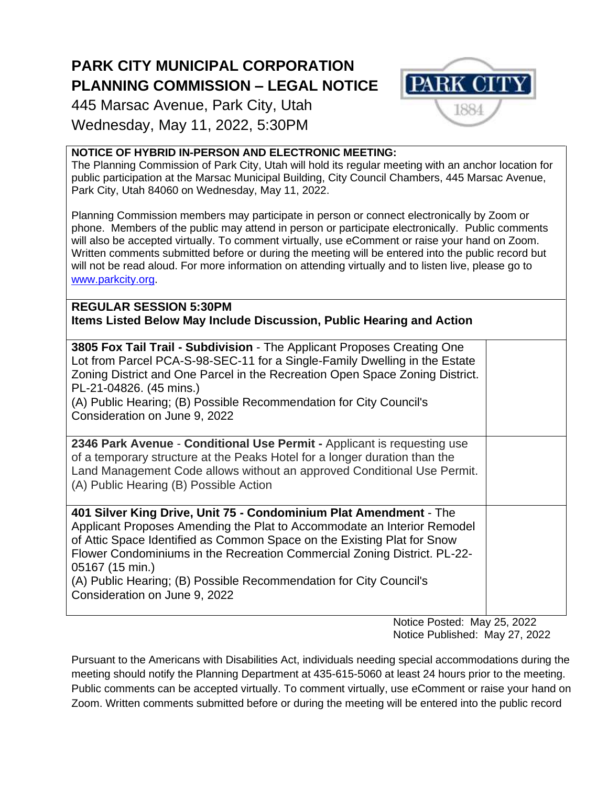## **PARK CITY MUNICIPAL CORPORATION PLANNING COMMISSION – LEGAL NOTICE**

445 Marsac Avenue, Park City, Utah Wednesday, May 11, 2022, 5:30PM



The Planning Commission of Park City, Utah will hold its regular meeting with an anchor location for public participation at the Marsac Municipal Building, City Council Chambers, 445 Marsac Avenue, Park City, Utah 84060 on Wednesday, May 11, 2022.

Planning Commission members may participate in person or connect electronically by Zoom or phone. Members of the public may attend in person or participate electronically. Public comments will also be accepted virtually. To comment virtually, use eComment or raise your hand on Zoom. Written comments submitted before or during the meeting will be entered into the public record but will not be read aloud. For more information on attending virtually and to listen live, please go to [www.parkcity.org.](http://www.parkcity.org/)

**REGULAR SESSION 5:30PM Items Listed Below May Include Discussion, Public Hearing and Action**

| 3805 Fox Tail Trail - Subdivision - The Applicant Proposes Creating One<br>Lot from Parcel PCA-S-98-SEC-11 for a Single-Family Dwelling in the Estate<br>Zoning District and One Parcel in the Recreation Open Space Zoning District.<br>PL-21-04826. (45 mins.)<br>(A) Public Hearing; (B) Possible Recommendation for City Council's<br>Consideration on June 9, 2022                                                       |  |
|-------------------------------------------------------------------------------------------------------------------------------------------------------------------------------------------------------------------------------------------------------------------------------------------------------------------------------------------------------------------------------------------------------------------------------|--|
| 2346 Park Avenue - Conditional Use Permit - Applicant is requesting use<br>of a temporary structure at the Peaks Hotel for a longer duration than the<br>Land Management Code allows without an approved Conditional Use Permit.<br>(A) Public Hearing (B) Possible Action                                                                                                                                                    |  |
| 401 Silver King Drive, Unit 75 - Condominium Plat Amendment - The<br>Applicant Proposes Amending the Plat to Accommodate an Interior Remodel<br>of Attic Space Identified as Common Space on the Existing Plat for Snow<br>Flower Condominiums in the Recreation Commercial Zoning District. PL-22-<br>05167 (15 min.)<br>(A) Public Hearing; (B) Possible Recommendation for City Council's<br>Consideration on June 9, 2022 |  |

Notice Posted: May 25, 2022 Notice Published: May 27, 2022

**PARK CIT** 

Pursuant to the Americans with Disabilities Act, individuals needing special accommodations during the meeting should notify the Planning Department at 435-615-5060 at least 24 hours prior to the meeting. Public comments can be accepted virtually. To comment virtually, use eComment or raise your hand on Zoom. Written comments submitted before or during the meeting will be entered into the public record